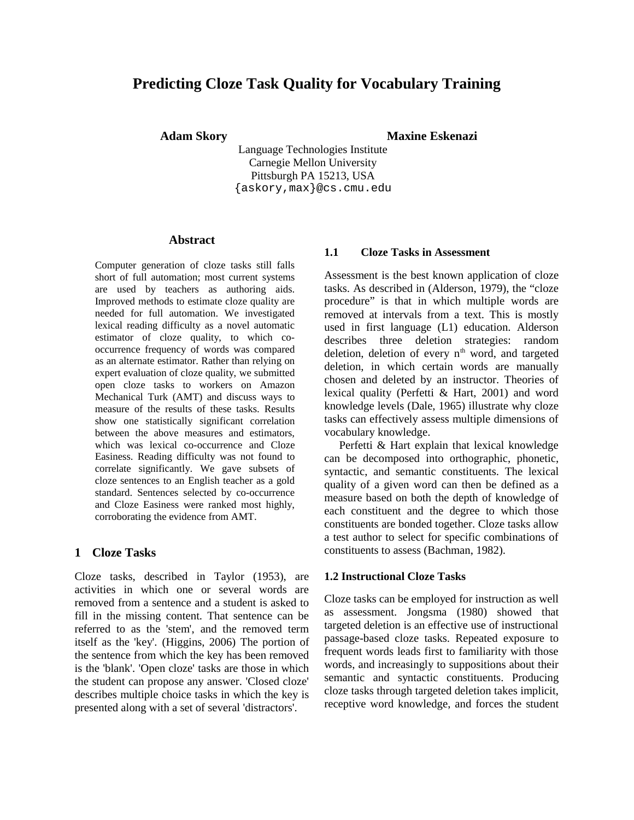# **Predicting Cloze Task Quality for Vocabulary Training**

**Adam Skory Maxine Eskenazi**

Language Technologies Institute Carnegie Mellon University Pittsburgh PA 15213, USA {askory,max}@cs.cmu.edu

#### **Abstract**

Computer generation of cloze tasks still falls short of full automation; most current systems are used by teachers as authoring aids. Improved methods to estimate cloze quality are needed for full automation. We investigated lexical reading difficulty as a novel automatic estimator of cloze quality, to which cooccurrence frequency of words was compared as an alternate estimator. Rather than relying on expert evaluation of cloze quality, we submitted open cloze tasks to workers on Amazon Mechanical Turk (AMT) and discuss ways to measure of the results of these tasks. Results show one statistically significant correlation between the above measures and estimators, which was lexical co-occurrence and Cloze Easiness. Reading difficulty was not found to correlate significantly. We gave subsets of cloze sentences to an English teacher as a gold standard. Sentences selected by co-occurrence and Cloze Easiness were ranked most highly, corroborating the evidence from AMT.

### **1 Cloze Tasks**

Cloze tasks, described in Taylor (1953), are activities in which one or several words are removed from a sentence and a student is asked to fill in the missing content. That sentence can be referred to as the 'stem', and the removed term itself as the 'key'. (Higgins, 2006) The portion of the sentence from which the key has been removed is the 'blank'. 'Open cloze' tasks are those in which the student can propose any answer. 'Closed cloze' describes multiple choice tasks in which the key is presented along with a set of several 'distractors'.

#### **1.1 Cloze Tasks in Assessment**

Assessment is the best known application of cloze tasks. As described in (Alderson, 1979), the "cloze procedure" is that in which multiple words are removed at intervals from a text. This is mostly used in first language (L1) education. Alderson describes three deletion strategies: random deletion, deletion of every  $n<sup>th</sup>$  word, and targeted deletion, in which certain words are manually chosen and deleted by an instructor. Theories of lexical quality (Perfetti & Hart, 2001) and word knowledge levels (Dale, 1965) illustrate why cloze tasks can effectively assess multiple dimensions of vocabulary knowledge.

Perfetti & Hart explain that lexical knowledge can be decomposed into orthographic, phonetic, syntactic, and semantic constituents. The lexical quality of a given word can then be defined as a measure based on both the depth of knowledge of each constituent and the degree to which those constituents are bonded together. Cloze tasks allow a test author to select for specific combinations of constituents to assess (Bachman, 1982).

#### **1.2 Instructional Cloze Tasks**

Cloze tasks can be employed for instruction as well as assessment. Jongsma (1980) showed that targeted deletion is an effective use of instructional passage-based cloze tasks. Repeated exposure to frequent words leads first to familiarity with those words, and increasingly to suppositions about their semantic and syntactic constituents. Producing cloze tasks through targeted deletion takes implicit, receptive word knowledge, and forces the student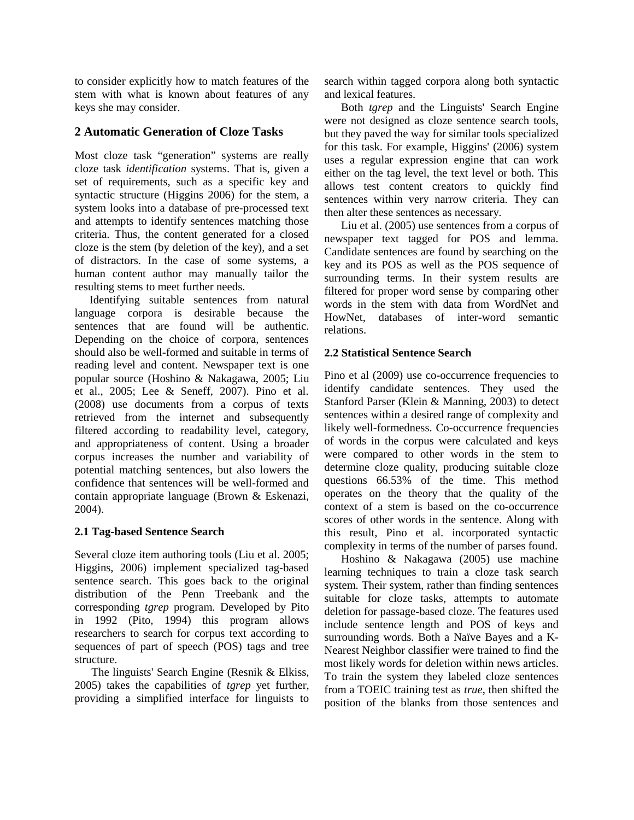to consider explicitly how to match features of the stem with what is known about features of any keys she may consider.

## **2 Automatic Generation of Cloze Tasks**

Most cloze task "generation" systems are really cloze task *identification* systems. That is, given a set of requirements, such as a specific key and syntactic structure (Higgins 2006) for the stem, a system looks into a database of pre-processed text and attempts to identify sentences matching those criteria. Thus, the content generated for a closed cloze is the stem (by deletion of the key), and a set of distractors. In the case of some systems, a human content author may manually tailor the resulting stems to meet further needs.

Identifying suitable sentences from natural language corpora is desirable because the sentences that are found will be authentic. Depending on the choice of corpora, sentences should also be well-formed and suitable in terms of reading level and content. Newspaper text is one popular source (Hoshino & Nakagawa, 2005; Liu et al., 2005; Lee & Seneff, 2007). Pino et al. (2008) use documents from a corpus of texts retrieved from the internet and subsequently filtered according to readability level, category, and appropriateness of content. Using a broader corpus increases the number and variability of potential matching sentences, but also lowers the confidence that sentences will be well-formed and contain appropriate language (Brown & Eskenazi, 2004).

## **2.1 Tag-based Sentence Search**

Several cloze item authoring tools (Liu et al. 2005; Higgins, 2006) implement specialized tag-based sentence search. This goes back to the original distribution of the Penn Treebank and the corresponding *tgrep* program. Developed by Pito in 1992 (Pito, 1994) this program allows researchers to search for corpus text according to sequences of part of speech (POS) tags and tree structure.

The linguists' Search Engine (Resnik & Elkiss, 2005) takes the capabilities of *tgrep* yet further, providing a simplified interface for linguists to search within tagged corpora along both syntactic and lexical features.

Both *tgrep* and the Linguists' Search Engine were not designed as cloze sentence search tools, but they paved the way for similar tools specialized for this task. For example, Higgins' (2006) system uses a regular expression engine that can work either on the tag level, the text level or both. This allows test content creators to quickly find sentences within very narrow criteria. They can then alter these sentences as necessary.

Liu et al. (2005) use sentences from a corpus of newspaper text tagged for POS and lemma. Candidate sentences are found by searching on the key and its POS as well as the POS sequence of surrounding terms. In their system results are filtered for proper word sense by comparing other words in the stem with data from WordNet and HowNet, databases of inter-word semantic relations.

## **2.2 Statistical Sentence Search**

Pino et al (2009) use co-occurrence frequencies to identify candidate sentences. They used the Stanford Parser (Klein & Manning, 2003) to detect sentences within a desired range of complexity and likely well-formedness. Co-occurrence frequencies of words in the corpus were calculated and keys were compared to other words in the stem to determine cloze quality, producing suitable cloze questions 66.53% of the time. This method operates on the theory that the quality of the context of a stem is based on the co-occurrence scores of other words in the sentence. Along with this result, Pino et al. incorporated syntactic complexity in terms of the number of parses found.

Hoshino & Nakagawa (2005) use machine learning techniques to train a cloze task search system. Their system, rather than finding sentences suitable for cloze tasks, attempts to automate deletion for passage-based cloze. The features used include sentence length and POS of keys and surrounding words. Both a Naïve Bayes and a K-Nearest Neighbor classifier were trained to find the most likely words for deletion within news articles. To train the system they labeled cloze sentences from a TOEIC training test as *true*, then shifted the position of the blanks from those sentences and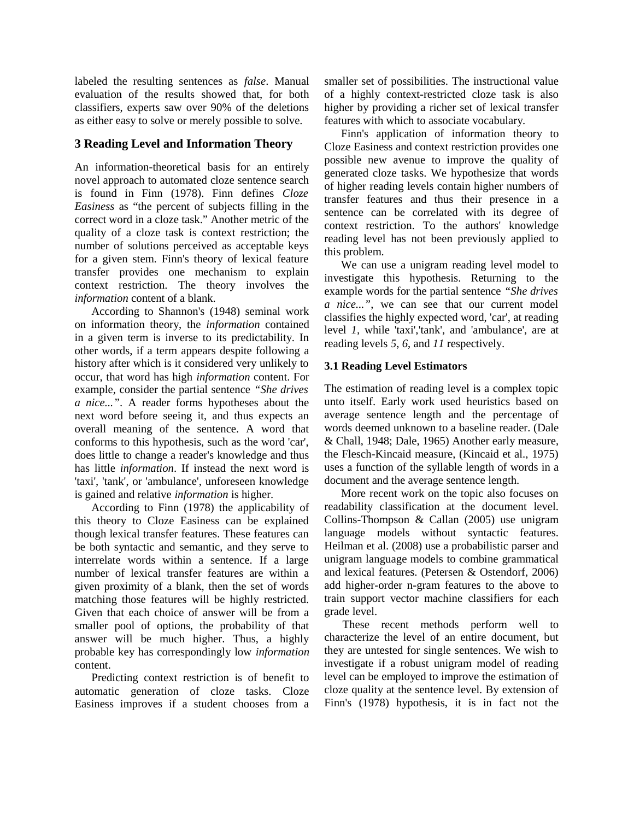labeled the resulting sentences as *false*. Manual evaluation of the results showed that, for both classifiers, experts saw over 90% of the deletions as either easy to solve or merely possible to solve.

## **3 Reading Level and Information Theory**

An information-theoretical basis for an entirely novel approach to automated cloze sentence search is found in Finn (1978). Finn defines *Cloze Easiness* as "the percent of subjects filling in the correct word in a cloze task." Another metric of the quality of a cloze task is context restriction; the number of solutions perceived as acceptable keys for a given stem. Finn's theory of lexical feature transfer provides one mechanism to explain context restriction. The theory involves the *information* content of a blank.

According to Shannon's (1948) seminal work on information theory, the *information* contained in a given term is inverse to its predictability. In other words, if a term appears despite following a history after which is it considered very unlikely to occur, that word has high *information* content. For example, consider the partial sentence *"She drives a nice..."*. A reader forms hypotheses about the next word before seeing it, and thus expects an overall meaning of the sentence. A word that conforms to this hypothesis, such as the word 'car', does little to change a reader's knowledge and thus has little *information*. If instead the next word is 'taxi', 'tank', or 'ambulance', unforeseen knowledge is gained and relative *information* is higher.

According to Finn (1978) the applicability of this theory to Cloze Easiness can be explained though lexical transfer features. These features can be both syntactic and semantic, and they serve to interrelate words within a sentence. If a large number of lexical transfer features are within a given proximity of a blank, then the set of words matching those features will be highly restricted. Given that each choice of answer will be from a smaller pool of options, the probability of that answer will be much higher. Thus, a highly probable key has correspondingly low *information* content.

Predicting context restriction is of benefit to automatic generation of cloze tasks. Cloze Easiness improves if a student chooses from a smaller set of possibilities. The instructional value of a highly context-restricted cloze task is also higher by providing a richer set of lexical transfer features with which to associate vocabulary.

Finn's application of information theory to Cloze Easiness and context restriction provides one possible new avenue to improve the quality of generated cloze tasks. We hypothesize that words of higher reading levels contain higher numbers of transfer features and thus their presence in a sentence can be correlated with its degree of context restriction. To the authors' knowledge reading level has not been previously applied to this problem.

We can use a unigram reading level model to investigate this hypothesis. Returning to the example words for the partial sentence *"She drives a nice..."*, we can see that our current model classifies the highly expected word, 'car', at reading level *1,* while 'taxi','tank', and 'ambulance', are at reading levels *5*, *6*, and *11* respectively.

## **3.1 Reading Level Estimators**

The estimation of reading level is a complex topic unto itself. Early work used heuristics based on average sentence length and the percentage of words deemed unknown to a baseline reader. (Dale & Chall, 1948; Dale, 1965) Another early measure, the Flesch-Kincaid measure, (Kincaid et al., 1975) uses a function of the syllable length of words in a document and the average sentence length.

More recent work on the topic also focuses on readability classification at the document level. Collins-Thompson & Callan (2005) use unigram language models without syntactic features. Heilman et al. (2008) use a probabilistic parser and unigram language models to combine grammatical and lexical features. (Petersen & Ostendorf, 2006) add higher-order n-gram features to the above to train support vector machine classifiers for each grade level.

These recent methods perform well to characterize the level of an entire document, but they are untested for single sentences. We wish to investigate if a robust unigram model of reading level can be employed to improve the estimation of cloze quality at the sentence level. By extension of Finn's (1978) hypothesis, it is in fact not the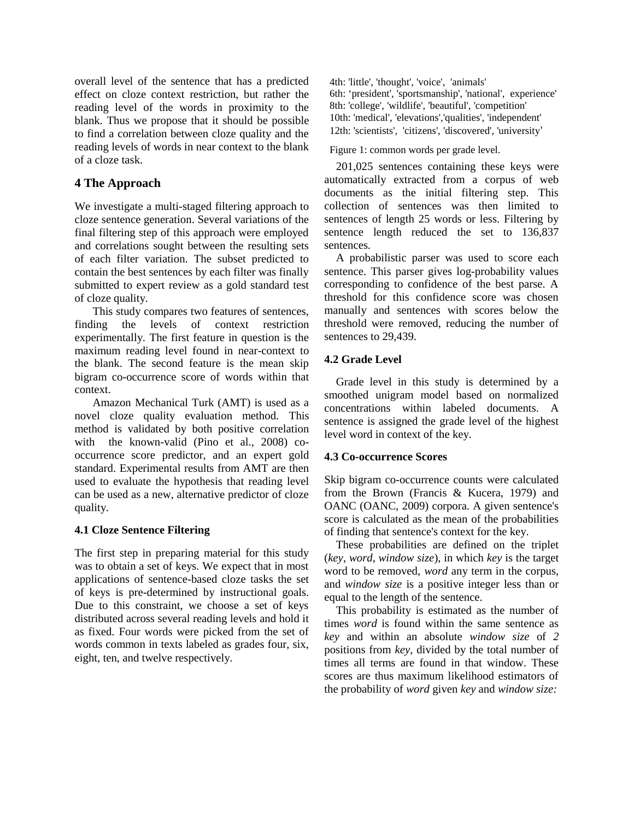overall level of the sentence that has a predicted effect on cloze context restriction, but rather the reading level of the words in proximity to the blank. Thus we propose that it should be possible to find a correlation between cloze quality and the reading levels of words in near context to the blank of a cloze task.

## **4 The Approach**

We investigate a multi-staged filtering approach to cloze sentence generation. Several variations of the final filtering step of this approach were employed and correlations sought between the resulting sets of each filter variation. The subset predicted to contain the best sentences by each filter was finally submitted to expert review as a gold standard test of cloze quality.

This study compares two features of sentences, finding the levels of context restriction experimentally. The first feature in question is the maximum reading level found in near-context to the blank. The second feature is the mean skip bigram co-occurrence score of words within that context.

Amazon Mechanical Turk (AMT) is used as a novel cloze quality evaluation method. This method is validated by both positive correlation with the known-valid (Pino et al., 2008) cooccurrence score predictor, and an expert gold standard. Experimental results from AMT are then used to evaluate the hypothesis that reading level can be used as a new, alternative predictor of cloze quality.

## **4.1 Cloze Sentence Filtering**

The first step in preparing material for this study was to obtain a set of keys. We expect that in most applications of sentence-based cloze tasks the set of keys is pre-determined by instructional goals. Due to this constraint, we choose a set of keys distributed across several reading levels and hold it as fixed. Four words were picked from the set of words common in texts labeled as grades four, six, eight, ten, and twelve respectively.

4th: 'little', 'thought', 'voice', 'animals' 6th: 'president', 'sportsmanship', 'national', experience' 8th: 'college', 'wildlife', 'beautiful', 'competition' 10th: 'medical', 'elevations','qualities', 'independent' 12th: 'scientists', 'citizens', 'discovered', 'university'

Figure 1: common words per grade level.

201,025 sentences containing these keys were automatically extracted from a corpus of web documents as the initial filtering step. This collection of sentences was then limited to sentences of length 25 words or less. Filtering by sentence length reduced the set to 136,837 sentences.

A probabilistic parser was used to score each sentence. This parser gives log-probability values corresponding to confidence of the best parse. A threshold for this confidence score was chosen manually and sentences with scores below the threshold were removed, reducing the number of sentences to 29,439.

## **4.2 Grade Level**

Grade level in this study is determined by a smoothed unigram model based on normalized concentrations within labeled documents. A sentence is assigned the grade level of the highest level word in context of the key.

## **4.3 Co-occurrence Scores**

Skip bigram co-occurrence counts were calculated from the Brown (Francis & Kucera, 1979) and OANC (OANC, 2009) corpora. A given sentence's score is calculated as the mean of the probabilities of finding that sentence's context for the key.

These probabilities are defined on the triplet (*key*, *word*, *window size*), in which *key* is the target word to be removed, *word* any term in the corpus, and *window size* is a positive integer less than or equal to the length of the sentence.

This probability is estimated as the number of times *word* is found within the same sentence as *key* and within an absolute *window size* of *2* positions from *key,* divided by the total number of times all terms are found in that window. These scores are thus maximum likelihood estimators of the probability of *word* given *key* and *window size:*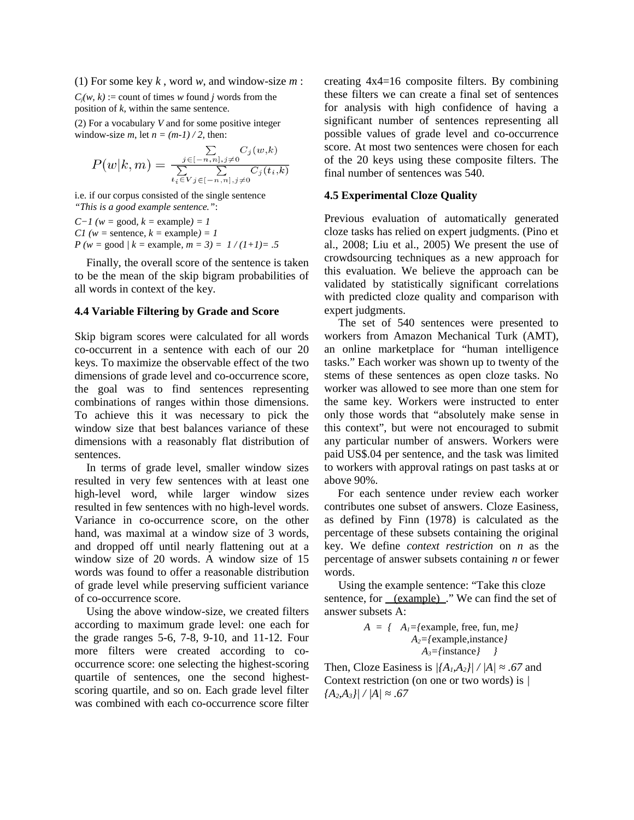(1) For some key *k* , word *w*, and window-size *m* :  $C_i(w, k)$  := count of times *w* found *j* words from the position of *k*, within the same sentence.

(2) For a vocabulary *V* and for some positive integer window-size  $m$ , let  $n = (m-1)/2$ , then:

$$
P(w|k,m) = \frac{\sum\limits_{j \in [-n,n], j \neq 0} C_j(w,k)}{\sum\limits_{t_i \in V} \sum\limits_{j \in [-n,n], j \neq 0} C_j(t_i,k)}
$$

i.e. if our corpus consisted of the single sentence *"This is a good example sentence."*:

*C−1 (w =* good*, k =* example*) = 1 C1 (w =* sentence*, k =* example*) = 1 P (w =* good *| k =* example*, m = 3) = 1 / (1+1)= .5*

Finally, the overall score of the sentence is taken to be the mean of the skip bigram probabilities of all words in context of the key.

#### **4.4 Variable Filtering by Grade and Score**

Skip bigram scores were calculated for all words co-occurrent in a sentence with each of our 20 keys. To maximize the observable effect of the two dimensions of grade level and co-occurrence score, the goal was to find sentences representing combinations of ranges within those dimensions. To achieve this it was necessary to pick the window size that best balances variance of these dimensions with a reasonably flat distribution of sentences.

In terms of grade level, smaller window sizes resulted in very few sentences with at least one high-level word, while larger window sizes resulted in few sentences with no high-level words. Variance in co-occurrence score, on the other hand, was maximal at a window size of 3 words, and dropped off until nearly flattening out at a window size of 20 words. A window size of 15 words was found to offer a reasonable distribution of grade level while preserving sufficient variance of co-occurrence score.

Using the above window-size, we created filters according to maximum grade level: one each for the grade ranges 5-6, 7-8, 9-10, and 11-12. Four more filters were created according to cooccurrence score: one selecting the highest-scoring quartile of sentences, one the second highestscoring quartile, and so on. Each grade level filter was combined with each co-occurrence score filter

creating 4x4=16 composite filters. By combining these filters we can create a final set of sentences for analysis with high confidence of having a significant number of sentences representing all possible values of grade level and co-occurrence score. At most two sentences were chosen for each of the 20 keys using these composite filters. The final number of sentences was 540.

### **4.5 Experimental Cloze Quality**

Previous evaluation of automatically generated cloze tasks has relied on expert judgments. (Pino et al., 2008; Liu et al., 2005) We present the use of crowdsourcing techniques as a new approach for this evaluation. We believe the approach can be validated by statistically significant correlations with predicted cloze quality and comparison with expert judgments.

The set of 540 sentences were presented to workers from Amazon Mechanical Turk (AMT), an online marketplace for "human intelligence tasks." Each worker was shown up to twenty of the stems of these sentences as open cloze tasks. No worker was allowed to see more than one stem for the same key. Workers were instructed to enter only those words that "absolutely make sense in this context", but were not encouraged to submit any particular number of answers. Workers were paid US\$.04 per sentence, and the task was limited to workers with approval ratings on past tasks at or above 90%.

For each sentence under review each worker contributes one subset of answers. Cloze Easiness, as defined by Finn (1978) is calculated as the percentage of these subsets containing the original key. We define *context restriction* on *n* as the percentage of answer subsets containing *n* or fewer words.

Using the example sentence: "Take this cloze sentence, for <u>(example)</u> ." We can find the set of answer subsets A:

$$
A = \{ A_i = \{ \text{example, free, fun, me} \}
$$
  

$$
A_2 = \{ \text{example, instance} \}
$$
  

$$
A_3 = \{ \text{instance} \}
$$

Then, Cloze Easiness is  $|\{A_1, A_2\}| / |A| \approx .67$  and Context restriction (on one or two words) is *| {A2,A3}| / |A| ≈ .67*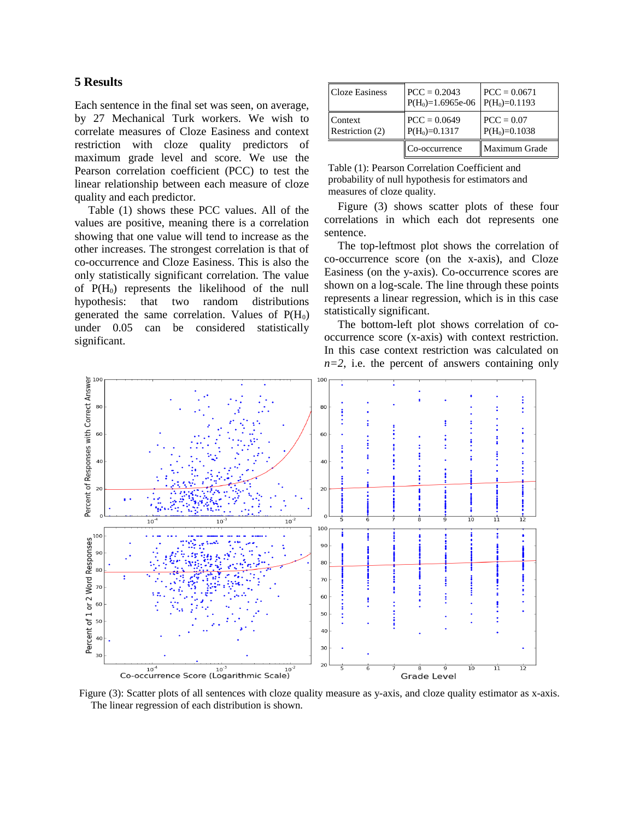### **5 Results**

Each sentence in the final set was seen, on average, by 27 Mechanical Turk workers. We wish to correlate measures of Cloze Easiness and context restriction with cloze quality predictors of maximum grade level and score. We use the Pearson correlation coefficient (PCC) to test the linear relationship between each measure of cloze quality and each predictor.

Table (1) shows these PCC values. All of the values are positive, meaning there is a correlation showing that one value will tend to increase as the other increases. The strongest correlation is that of co-occurrence and Cloze Easiness. This is also the only statistically significant correlation. The value of  $P(H_0)$  represents the likelihood of the null hypothesis: that two random distributions generated the same correlation. Values of  $P(H_0)$ under 0.05 can be considered statistically significant.

| <b>Cloze Easiness</b>      | $PCC = 0.2043$<br>$P(H_0)=1.6965e-06$ | $PCC = 0.0671$<br>$P(H_0)=0.1193$ |
|----------------------------|---------------------------------------|-----------------------------------|
| Context<br>Restriction (2) | $PCC = 0.0649$<br>$P(H_0)=0.1317$     | $PCC = 0.07$<br>$P(H_0)=0.1038$   |
|                            | Co-occurrence                         | Maximum Grade                     |

Table (1): Pearson Correlation Coefficient and probability of null hypothesis for estimators and measures of cloze quality.

Figure (3) shows scatter plots of these four correlations in which each dot represents one sentence.

The top-leftmost plot shows the correlation of co-occurrence score (on the x-axis), and Cloze Easiness (on the y-axis). Co-occurrence scores are shown on a log-scale. The line through these points represents a linear regression, which is in this case statistically significant.

The bottom-left plot shows correlation of cooccurrence score (x-axis) with context restriction. In this case context restriction was calculated on *n=2*, i.e. the percent of answers containing only



Figure (3): Scatter plots of all sentences with cloze quality measure as y-axis, and cloze quality estimator as x-axis. The linear regression of each distribution is shown.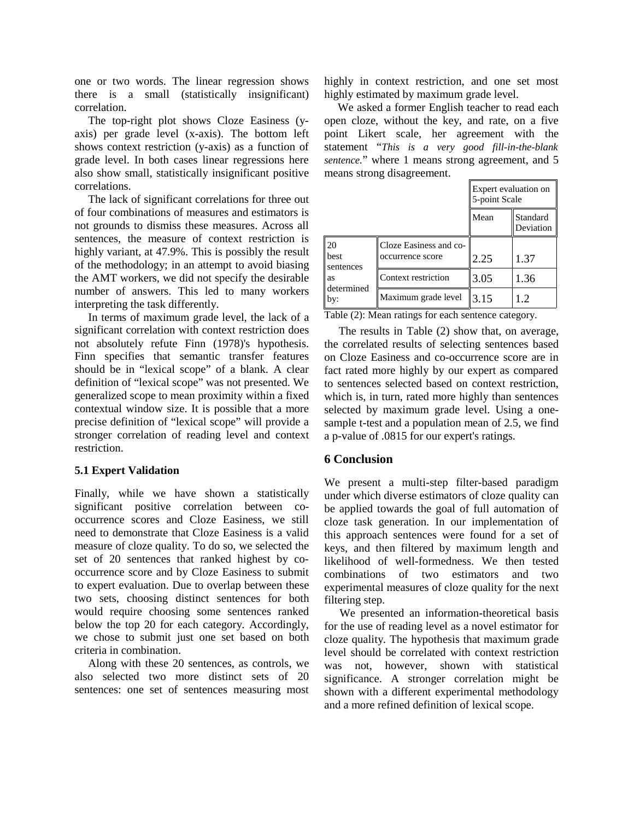one or two words. The linear regression shows there is a small (statistically insignificant) correlation.

The top-right plot shows Cloze Easiness (yaxis) per grade level (x-axis). The bottom left shows context restriction (y-axis) as a function of grade level. In both cases linear regressions here also show small, statistically insignificant positive correlations.

The lack of significant correlations for three out of four combinations of measures and estimators is not grounds to dismiss these measures. Across all sentences, the measure of context restriction is highly variant, at 47.9%. This is possibly the result of the methodology; in an attempt to avoid biasing the AMT workers, we did not specify the desirable number of answers. This led to many workers interpreting the task differently.

In terms of maximum grade level, the lack of a significant correlation with context restriction does not absolutely refute Finn (1978)'s hypothesis. Finn specifies that semantic transfer features should be in "lexical scope" of a blank. A clear definition of "lexical scope" was not presented. We generalized scope to mean proximity within a fixed contextual window size. It is possible that a more precise definition of "lexical scope" will provide a stronger correlation of reading level and context restriction.

### **5.1 Expert Validation**

Finally, while we have shown a statistically significant positive correlation between cooccurrence scores and Cloze Easiness, we still need to demonstrate that Cloze Easiness is a valid measure of cloze quality. To do so, we selected the set of 20 sentences that ranked highest by cooccurrence score and by Cloze Easiness to submit to expert evaluation. Due to overlap between these two sets, choosing distinct sentences for both would require choosing some sentences ranked below the top 20 for each category. Accordingly, we chose to submit just one set based on both criteria in combination.

Along with these 20 sentences, as controls, we also selected two more distinct sets of 20 sentences: one set of sentences measuring most highly in context restriction, and one set most highly estimated by maximum grade level.

We asked a former English teacher to read each open cloze, without the key, and rate, on a five point Likert scale, her agreement with the statement "*This is a very good fill-in-the-blank sentence.*" where 1 means strong agreement, and 5 means strong disagreement.

|                                                    |                                            | Expert evaluation on<br>5-point Scale |                       |
|----------------------------------------------------|--------------------------------------------|---------------------------------------|-----------------------|
|                                                    |                                            | Mean                                  | Standard<br>Deviation |
| 20<br>best<br>sentences<br>as<br>determined<br>by: | Cloze Easiness and co-<br>occurrence score | 2.25                                  | 1.37                  |
|                                                    | Context restriction                        | 3.05                                  | 1.36                  |
|                                                    | Maximum grade level                        | 3.15                                  | 1.2                   |

Table (2): Mean ratings for each sentence category.

The results in Table (2) show that, on average, the correlated results of selecting sentences based on Cloze Easiness and co-occurrence score are in fact rated more highly by our expert as compared to sentences selected based on context restriction, which is, in turn, rated more highly than sentences selected by maximum grade level. Using a onesample t-test and a population mean of 2.5, we find a p-value of .0815 for our expert's ratings.

## **6 Conclusion**

We present a multi-step filter-based paradigm under which diverse estimators of cloze quality can be applied towards the goal of full automation of cloze task generation. In our implementation of this approach sentences were found for a set of keys, and then filtered by maximum length and likelihood of well-formedness. We then tested combinations of two estimators and two experimental measures of cloze quality for the next filtering step.

We presented an information-theoretical basis for the use of reading level as a novel estimator for cloze quality. The hypothesis that maximum grade level should be correlated with context restriction was not, however, shown with statistical significance. A stronger correlation might be shown with a different experimental methodology and a more refined definition of lexical scope.